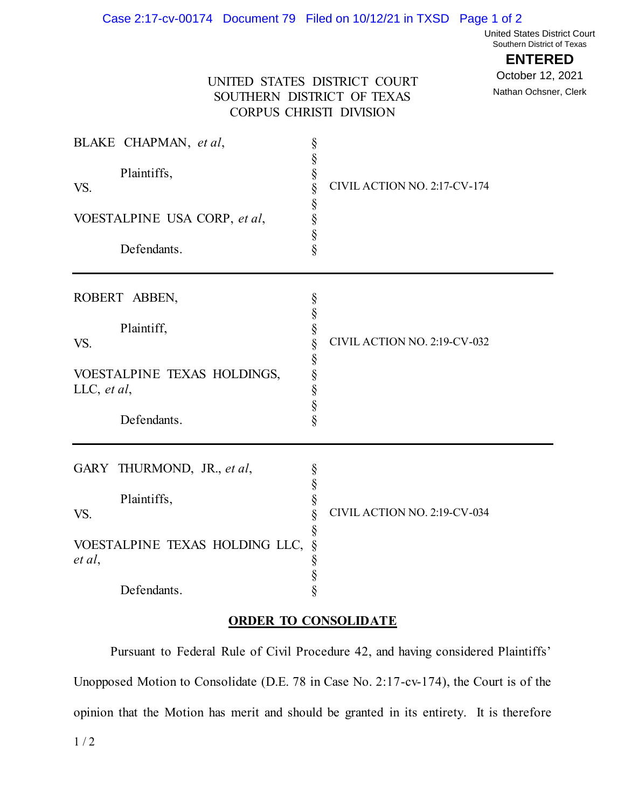## Case 2:17-cv-00174 Document 79 Filed on 10/12/21 in TXSD Page 1 of 2

United States District Court Southern District of Texas

## **ENTERED**

October 12, 2021

Nathan Ochsner, Clerk

## UNITED STATES DISTRICT COURT SOUTHERN DISTRICT OF TEXAS CORPUS CHRISTI DIVISION

| BLAKE CHAPMAN, et al,<br>Plaintiffs,<br>VS.<br>VOESTALPINE USA CORP, et al,<br>Defendants.                  | §<br>§<br>§<br>§<br>CIVIL ACTION NO. 2:17-CV-174<br>§<br>§<br>§<br>§    |
|-------------------------------------------------------------------------------------------------------------|-------------------------------------------------------------------------|
| ROBERT ABBEN,<br>Plaintiff,<br>VS.<br>VOESTALPINE TEXAS HOLDINGS,<br>LLC, et al,<br>Defendants.             | §<br>$\S$<br>§<br>CIVIL ACTION NO. 2:19-CV-032<br>$\S$<br>SS SS SS SS   |
| GARY THURMOND, JR., et al,<br>Plaintiffs,<br>VS.<br>VOESTALPINE TEXAS HOLDING LLC,<br>et al,<br>Defendants. | §<br>§<br>§<br>CIVIL ACTION NO. 2:19-CV-034<br>§<br>§<br>$\S$<br>§<br>§ |

## **ORDER TO CONSOLIDATE**

Pursuant to Federal Rule of Civil Procedure 42, and having considered Plaintiffs' Unopposed Motion to Consolidate (D.E. 78 in Case No. 2:17-cv-174), the Court is of the opinion that the Motion has merit and should be granted in its entirety. It is therefore